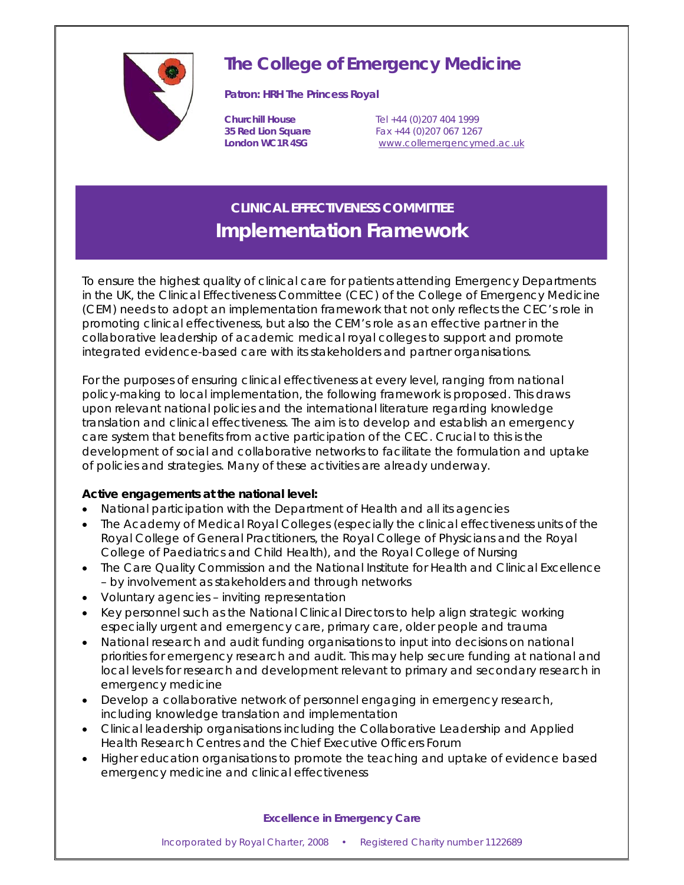

# **The College of Emergency Medicine**

#### **Patron: HRH The Princess Royal**

**Churchill House** Tel +44 (0)207 404 1999 **35 Red Lion Square** Fax +44 (0)207 067 1267 London WC1R 4SG **www.collemergencymed.ac.uk** 

# **CLINICAL EFFECTIVENESS COMMITTEE Implementation Framework**

To ensure the highest quality of clinical care for patients attending Emergency Departments in the UK, the Clinical Effectiveness Committee (CEC) of the College of Emergency Medicine (CEM) needs to adopt an implementation framework that not only reflects the CEC's role in promoting clinical effectiveness, but also the CEM's role as an effective partner in the collaborative leadership of academic medical royal colleges to support and promote integrated evidence-based care with its stakeholders and partner organisations.

For the purposes of ensuring clinical effectiveness at every level, ranging from national policy-making to local implementation, the following framework is proposed. This draws upon relevant national policies and the international literature regarding knowledge translation and clinical effectiveness. The aim is to develop and establish an emergency care system that benefits from active participation of the CEC. Crucial to this is the development of social and collaborative networks to facilitate the formulation and uptake of policies and strategies. Many of these activities are already underway.

### **Active engagements at the national level:**

- National participation with the Department of Health and all its agencies
- The Academy of Medical Royal Colleges (especially the clinical effectiveness units of the Royal College of General Practitioners, the Royal College of Physicians and the Royal College of Paediatrics and Child Health), and the Royal College of Nursing
- The Care Quality Commission and the National Institute for Health and Clinical Excellence – by involvement as stakeholders and through networks
- Voluntary agencies inviting representation
- Key personnel such as the National Clinical Directors to help align strategic working especially urgent and emergency care, primary care, older people and trauma
- National research and audit funding organisations to input into decisions on national priorities for emergency research and audit. This may help secure funding at national and local levels for research and development relevant to primary and secondary research in emergency medicine
- Develop a collaborative network of personnel engaging in emergency research, including knowledge translation and implementation
- Clinical leadership organisations including the Collaborative Leadership and Applied Health Research Centres and the Chief Executive Officers Forum
- Higher education organisations to promote the teaching and uptake of evidence based emergency medicine and clinical effectiveness

*Excellence in Emergency Care*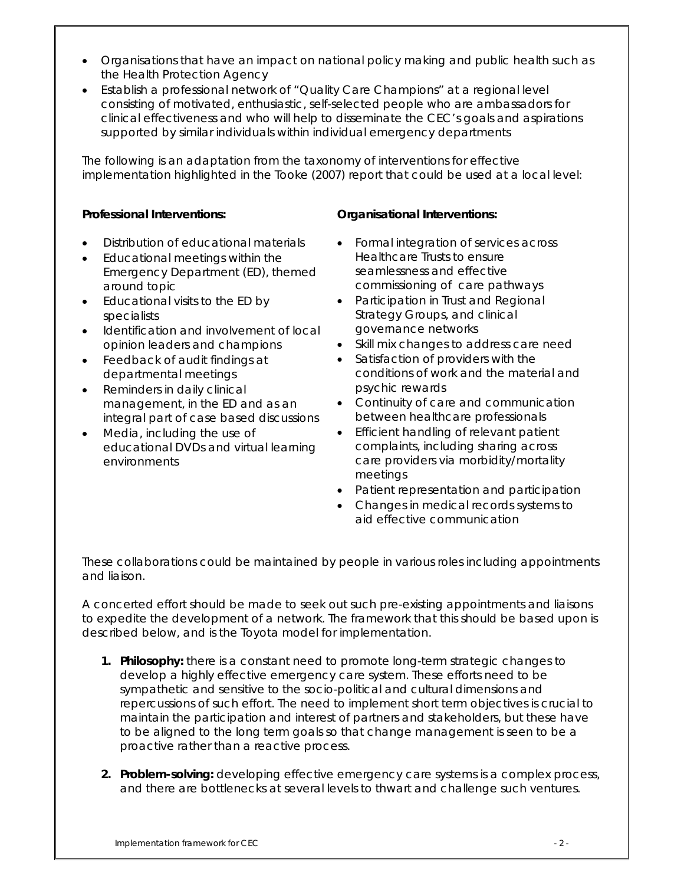- Organisations that have an impact on national policy making and public health such as the Health Protection Agency
- Establish a professional network of "Quality Care Champions" at a regional level consisting of motivated, enthusiastic, self-selected people who are ambassadors for clinical effectiveness and who will help to disseminate the CEC's goals and aspirations supported by similar individuals within individual emergency departments

The following is an adaptation from the taxonomy of interventions for effective implementation highlighted in the Tooke (2007) report that could be used at a local level:

### *Professional Interventions:*

- Distribution of educational materials
- Educational meetings within the Emergency Department (ED), themed around topic
- Educational visits to the ED by specialists
- Identification and involvement of local opinion leaders and champions
- Feedback of audit findings at departmental meetings
- Reminders in daily clinical management, in the ED and as an integral part of case based discussions
- Media, including the use of educational DVDs and virtual learning environments

## *Organisational Interventions:*

- Formal integration of services across Healthcare Trusts to ensure seamlessness and effective commissioning of care pathways
- Participation in Trust and Regional Strategy Groups, and clinical governance networks
- Skill mix changes to address care need
- Satisfaction of providers with the conditions of work and the material and psychic rewards
- Continuity of care and communication between healthcare professionals
- Efficient handling of relevant patient complaints, including sharing across care providers via morbidity/mortality meetings
- Patient representation and participation
- Changes in medical records systems to aid effective communication

These collaborations could be maintained by people in various roles including appointments and liaison.

A concerted effort should be made to seek out such pre-existing appointments and liaisons to expedite the development of a network. The framework that this should be based upon is described below, and is the Toyota model for implementation.

- **1. Philosophy:** there is a constant need to promote long-term strategic changes to develop a highly effective emergency care system. These efforts need to be sympathetic and sensitive to the socio-political and cultural dimensions and repercussions of such effort. The need to implement short term objectives is crucial to maintain the participation and interest of partners and stakeholders, but these have to be aligned to the long term goals so that change management is seen to be a proactive rather than a reactive process.
- **2. Problem-solving:** developing effective emergency care systems is a complex process, and there are bottlenecks at several levels to thwart and challenge such ventures.